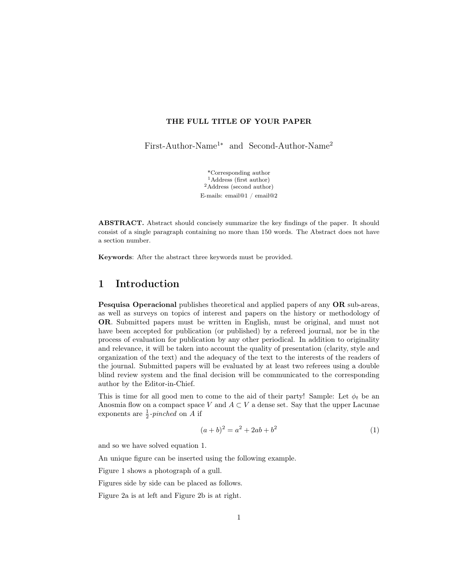#### THE FULL TITLE OF YOUR PAPER

First-Author-Name<sup>1</sup>∗ and Second-Author-Name<sup>2</sup>

\*Corresponding author <sup>1</sup>Address (first author)  ${}^2\mathbf{Address}$  (second author) E-mails: email@1 / email@2

ABSTRACT. Abstract should concisely summarize the key findings of the paper. It should consist of a single paragraph containing no more than 150 words. The Abstract does not have a section number.

Keywords: After the abstract three keywords must be provided.

#### 1 Introduction

Pesquisa Operacional publishes theoretical and applied papers of any OR sub-areas, as well as surveys on topics of interest and papers on the history or methodology of OR. Submitted papers must be written in English, must be original, and must not have been accepted for publication (or published) by a refereed journal, nor be in the process of evaluation for publication by any other periodical. In addition to originality and relevance, it will be taken into account the quality of presentation (clarity, style and organization of the text) and the adequacy of the text to the interests of the readers of the journal. Submitted papers will be evaluated by at least two referees using a double blind review system and the final decision will be communicated to the corresponding author by the Editor-in-Chief.

This is time for all good men to come to the aid of their party! Sample: Let  $\phi_t$  be an Anosmia flow on a compact space V and  $A \subset V$  a dense set. Say that the upper Lacunae exponents are  $\frac{1}{2}$ -pinched on A if

$$
(a+b)^2 = a^2 + 2ab + b^2 \tag{1}
$$

and so we have solved equation 1.

An unique figure can be inserted using the following example.

Figure 1 shows a photograph of a gull.

Figures side by side can be placed as follows.

Figure 2a is at left and Figure 2b is at right.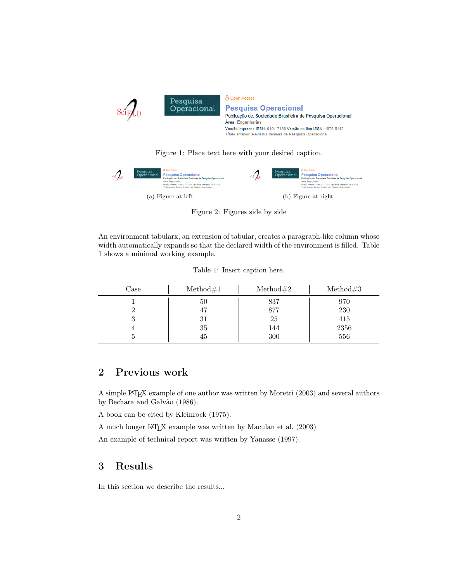

Figure 1: Place text here with your desired caption.



Figure 2: Figures side by side

An environment tabularx, an extension of tabular, creates a paragraph-like column whose width automatically expands so that the declared width of the environment is filled. Table 1 shows a minimal working example.

Table 1: Insert caption here.

| Case | Method#1 | $\mathrm{Method} \#2$ | Method#3 |
|------|----------|-----------------------|----------|
|      | 50       | 837                   | 970      |
|      | 47       | 877                   | 230      |
|      | 31       | 25                    | 415      |
|      | 35       | 144                   | 2356     |
|      | 45       | 300                   | 556      |

### 2 Previous work

A simple LATEX example of one author was written by Moretti (2003) and several authors by Bechara and Galvão (1986).

A book can be cited by Kleinrock (1975).

A much longer LATEX example was written by Maculan et al. (2003)

An example of technical report was written by Yanasse (1997).

#### 3 Results

In this section we describe the results...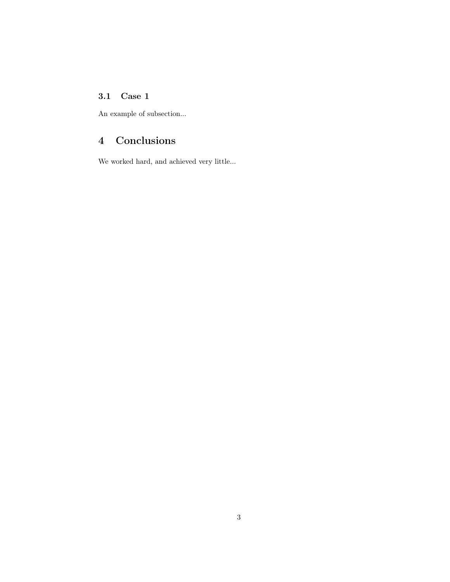#### 3.1 Case 1

An example of subsection...

# 4 Conclusions

We worked hard, and achieved very little...